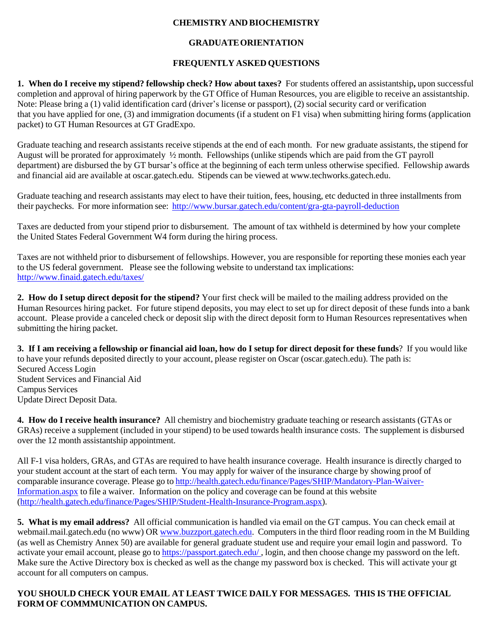## **CHEMISTRY AND BIOCHEMISTRY**

## **GRADUATEORIENTATION**

## **FREQUENTLY ASKED QUESTIONS**

**1. When do I receive my stipend? fellowship check? How about taxes?** For students offered an assistantship**,** upon successful completion and approval of hiring paperwork by the GT Office of Human Resources, you are eligible to receive an assistantship. Note: Please bring a (1) valid identification card (driver's license or passport), (2) social security card or verification that you have applied for one, (3) and immigration documents (if a student on F1 visa) when submitting hiring forms (application packet) to GT Human Resources at GT GradExpo.

Graduate teaching and research assistants receive stipends at the end of each month. For new graduate assistants, the stipend for August will be prorated for approximately ½ month. Fellowships (unlike stipends which are paid from the GT payroll department) are disbursed the by GT bursar's office at the beginning of each term unless otherwise specified. Fellowship awards and financial aid are available at oscar.gatech.edu. Stipends can be viewed at [www.techworks.gatech.edu.](http://www.techworks.gatech.edu/)

Graduate teaching and research assistants may elect to have their tuition, fees, housing, etc deducted in three installments from their paychecks. For more information see: <http://www.bursar.gatech.edu/content/gra-gta-payroll-deduction>

Taxes are deducted from your stipend prior to disbursement. The amount of tax withheld is determined by how your complete the United States Federal Government W4 form during the hiring process.

Taxes are not withheld prior to disbursement of fellowships. However, you are responsible for reporting these monies each year to the US federal government. Please see the following website to understand tax implications: <http://www.finaid.gatech.edu/taxes/>

**2. How do I setup direct deposit for the stipend?** Your first check will be mailed to the mailing address provided on the Human Resources hiring packet. For future stipend deposits, you may elect to set up for direct deposit of these funds into a bank account. Please provide a canceled check or deposit slip with the direct deposit form to Human Resources representatives when submitting the hiring packet.

3. If I am receiving a fellowship or financial aid loan, how do I setup for direct deposit for these funds? If you would like to have your refunds deposited directly to your account, please register on Oscar (oscar.gatech.edu). The path is: Secured Access Login Student Services and Financial Aid Campus Services Update Direct Deposit Data.

**4. How do I receive health insurance?** All chemistry and biochemistry graduate teaching or research assistants (GTAs or GRAs) receive a supplement (included in your stipend) to be used towards health insurance costs. The supplement is disbursed over the 12 month assistantship appointment.

All F-1 visa holders, GRAs, and GTAs are required to have health insurance coverage. Health insurance is directly charged to your student account at the start of each term. You may apply for waiver of the insurance charge by showing proof of comparable insurance coverage. Please go to [http://health.gatech.edu/finance/Pages/SHIP/Mandatory-Plan-Waiver-](http://health.gatech.edu/finance/Pages/SHIP/Mandatory-Plan-Waiver-Information.aspx)[Information.aspx](http://health.gatech.edu/finance/Pages/SHIP/Mandatory-Plan-Waiver-Information.aspx) to file a waiver. Information on the policy and coverage can be found at this website [\(http://health.gatech.edu/finance/Pages/SHIP/Student-Health-Insurance-Program.aspx\)](http://health.gatech.edu/finance/Pages/SHIP/Student-Health-Insurance-Program.aspx).

**5. What is my email address?** All official communication is handled via email on the GT campus. You can check email at webmail.mail.gatech.edu (no www) OR [www.buzzport.gatech.edu.](http://www.buzzport.gatech.edu/) Computers in the third floor reading room in the M Building (as well as Chemistry Annex 50) are available for general graduate student use and require your email login and password. To activate your email account, please go to https://passport.gatech.edu/ , login, and then choose change my password on the left. Make sure the Active Directory box is checked as well as the change my password box is checked. This will activate your gt account for all computers on campus.

## **YOU SHOULD CHECK YOUR EMAIL AT LEAST TWICE DAILY FOR MESSAGES. THIS IS THE OFFICIAL FORM OF COMMMUNICATION ON CAMPUS.**